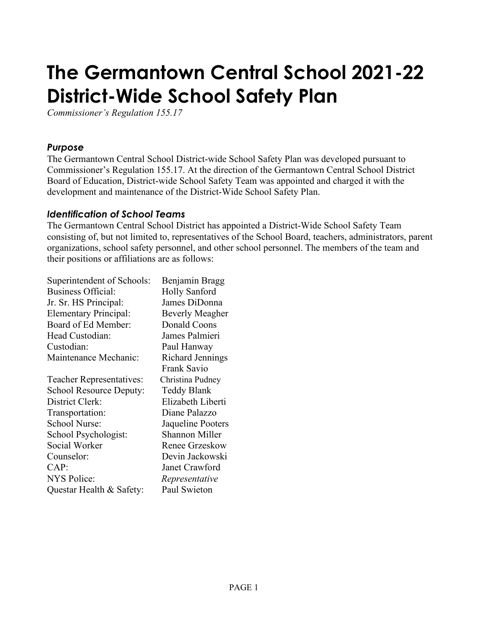# **The Germantown Central School 2021-22 District-Wide School Safety Plan**

*Commissioner's Regulation 155.17*

#### *Purpose*

The Germantown Central School District-wide School Safety Plan was developed pursuant to Commissioner's Regulation 155.17. At the direction of the Germantown Central School District Board of Education, District-wide School Safety Team was appointed and charged it with the development and maintenance of the District-Wide School Safety Plan.

#### *Identification of School Teams*

The Germantown Central School District has appointed a District-Wide School Safety Team consisting of, but not limited to, representatives of the School Board, teachers, administrators, parent organizations, school safety personnel, and other school personnel. The members of the team and their positions or affiliations are as follows:

| Superintendent of Schools:   | Benjamin Bragg         |
|------------------------------|------------------------|
| <b>Business Official:</b>    | <b>Holly Sanford</b>   |
| Jr. Sr. HS Principal:        | James DiDonna          |
| <b>Elementary Principal:</b> | <b>Beverly Meagher</b> |
| Board of Ed Member:          | Donald Coons           |
| Head Custodian:              | James Palmieri         |
| Custodian:                   | Paul Hanway            |
| Maintenance Mechanic:        | Richard Jennings       |
|                              | Frank Savio            |
| Teacher Representatives:     | Christina Pudney       |
| School Resource Deputy:      | Teddy Blank            |
| District Clerk:              | Elizabeth Liberti      |
| Transportation:              | Diane Palazzo          |
| <b>School Nurse:</b>         | Jaqueline Pooters      |
| School Psychologist:         | <b>Shannon Miller</b>  |
| Social Worker                | Renee Grzeskow         |
| Counselor:                   | Devin Jackowski        |
| CAP:                         | Janet Crawford         |
| <b>NYS Police:</b>           | Representative         |
| Questar Health & Safety:     | Paul Swieton           |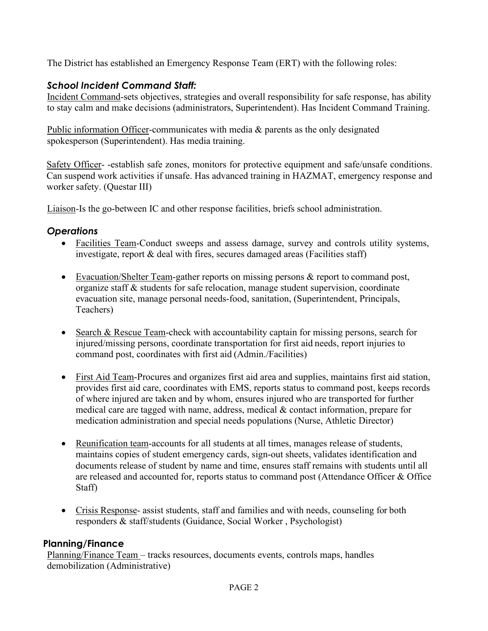The District has established an Emergency Response Team (ERT) with the following roles:

# *School Incident Command Staff:*

Incident Command-sets objectives, strategies and overall responsibility for safe response, has ability to stay calm and make decisions (administrators, Superintendent). Has Incident Command Training.

Public information Officer-communicates with media & parents as the only designated spokesperson (Superintendent). Has media training.

Safety Officer- -establish safe zones, monitors for protective equipment and safe/unsafe conditions. Can suspend work activities if unsafe. Has advanced training in HAZMAT, emergency response and worker safety. (Questar III)

Liaison-Is the go-between IC and other response facilities, briefs school administration.

# *Operations*

- Facilities Team-Conduct sweeps and assess damage, survey and controls utility systems, investigate, report & deal with fires, secures damaged areas (Facilities staff)
- Evacuation/Shelter Team-gather reports on missing persons & report to command post, organize staff & students for safe relocation, manage student supervision, coordinate evacuation site, manage personal needs-food, sanitation, (Superintendent, Principals, Teachers)
- Search & Rescue Team-check with accountability captain for missing persons, search for injured/missing persons, coordinate transportation for first aid needs, report injuries to command post, coordinates with first aid (Admin./Facilities)
- First Aid Team-Procures and organizes first aid area and supplies, maintains first aid station, provides first aid care, coordinates with EMS, reports status to command post, keeps records of where injured are taken and by whom, ensures injured who are transported for further medical care are tagged with name, address, medical & contact information, prepare for medication administration and special needs populations (Nurse, Athletic Director)
- Reunification team-accounts for all students at all times, manages release of students, maintains copies of student emergency cards, sign-out sheets, validates identification and documents release of student by name and time, ensures staff remains with students until all are released and accounted for, reports status to command post (Attendance Officer & Office Staff)
- Crisis Response- assist students, staff and families and with needs, counseling for both responders & staff/students (Guidance, Social Worker , Psychologist)

# **Planning/Finance**

Planning/Finance Team – tracks resources, documents events, controls maps, handles demobilization (Administrative)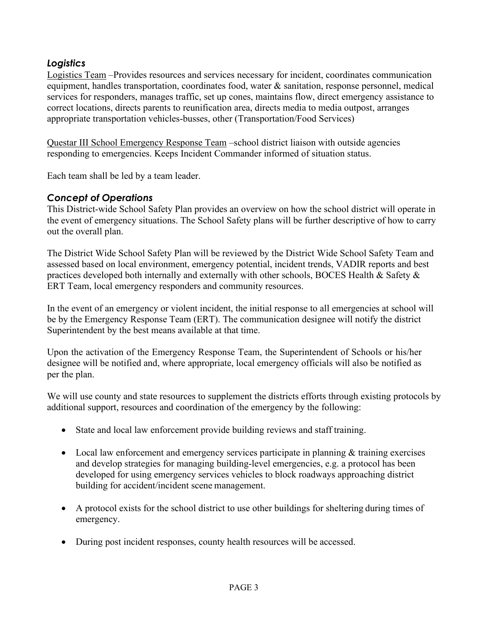## *Logistics*

Logistics Team –Provides resources and services necessary for incident, coordinates communication equipment, handles transportation, coordinates food, water & sanitation, response personnel, medical services for responders, manages traffic, set up cones, maintains flow, direct emergency assistance to correct locations, directs parents to reunification area, directs media to media outpost, arranges appropriate transportation vehicles-busses, other (Transportation/Food Services)

Questar III School Emergency Response Team –school district liaison with outside agencies responding to emergencies. Keeps Incident Commander informed of situation status.

Each team shall be led by a team leader.

#### *Concept of Operations*

This District-wide School Safety Plan provides an overview on how the school district will operate in the event of emergency situations. The School Safety plans will be further descriptive of how to carry out the overall plan.

The District Wide School Safety Plan will be reviewed by the District Wide School Safety Team and assessed based on local environment, emergency potential, incident trends, VADIR reports and best practices developed both internally and externally with other schools, BOCES Health & Safety  $\&$ ERT Team, local emergency responders and community resources.

In the event of an emergency or violent incident, the initial response to all emergencies at school will be by the Emergency Response Team (ERT). The communication designee will notify the district Superintendent by the best means available at that time.

Upon the activation of the Emergency Response Team, the Superintendent of Schools or his/her designee will be notified and, where appropriate, local emergency officials will also be notified as per the plan.

We will use county and state resources to supplement the districts efforts through existing protocols by additional support, resources and coordination of the emergency by the following:

- State and local law enforcement provide building reviews and staff training.
- Local law enforcement and emergency services participate in planning & training exercises and develop strategies for managing building-level emergencies, e.g. a protocol has been developed for using emergency services vehicles to block roadways approaching district building for accident/incident scene management.
- A protocol exists for the school district to use other buildings for sheltering during times of emergency.
- During post incident responses, county health resources will be accessed.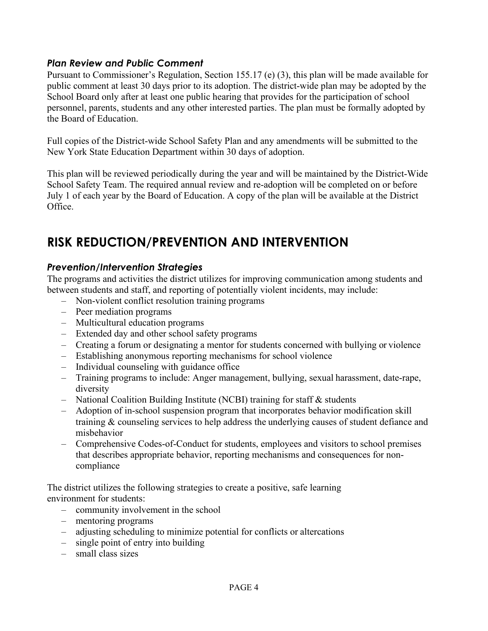#### *Plan Review and Public Comment*

Pursuant to Commissioner's Regulation, Section 155.17 (e) (3), this plan will be made available for public comment at least 30 days prior to its adoption. The district-wide plan may be adopted by the School Board only after at least one public hearing that provides for the participation of school personnel, parents, students and any other interested parties. The plan must be formally adopted by the Board of Education.

Full copies of the District-wide School Safety Plan and any amendments will be submitted to the New York State Education Department within 30 days of adoption.

This plan will be reviewed periodically during the year and will be maintained by the District-Wide School Safety Team. The required annual review and re-adoption will be completed on or before July 1 of each year by the Board of Education. A copy of the plan will be available at the District Office.

# **RISK REDUCTION/PREVENTION AND INTERVENTION**

#### *Prevention/Intervention Strategies*

The programs and activities the district utilizes for improving communication among students and between students and staff, and reporting of potentially violent incidents, may include:

- Non-violent conflict resolution training programs
- Peer mediation programs
- Multicultural education programs
- Extended day and other school safety programs
- Creating a forum or designating a mentor for students concerned with bullying or violence
- Establishing anonymous reporting mechanisms for school violence
- Individual counseling with guidance office
- Training programs to include: Anger management, bullying, sexual harassment, date-rape, diversity
- National Coalition Building Institute (NCBI) training for staff & students
- Adoption of in-school suspension program that incorporates behavior modification skill training & counseling services to help address the underlying causes of student defiance and misbehavior
- Comprehensive Codes-of-Conduct for students, employees and visitors to school premises that describes appropriate behavior, reporting mechanisms and consequences for noncompliance

The district utilizes the following strategies to create a positive, safe learning environment for students:

- community involvement in the school
- mentoring programs
- adjusting scheduling to minimize potential for conflicts or altercations
- single point of entry into building
- small class sizes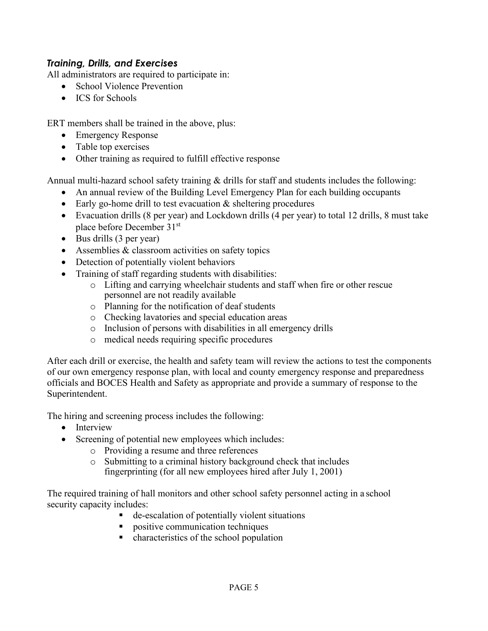#### *Training, Drills, and Exercises*

All administrators are required to participate in:

- School Violence Prevention
- ICS for Schools

ERT members shall be trained in the above, plus:

- Emergency Response
- Table top exercises
- Other training as required to fulfill effective response

Annual multi-hazard school safety training  $\&$  drills for staff and students includes the following:

- An annual review of the Building Level Emergency Plan for each building occupants
- Early go-home drill to test evacuation & sheltering procedures
- Evacuation drills (8 per year) and Lockdown drills (4 per year) to total 12 drills, 8 must take place before December 31st
- Bus drills (3 per year)
- Assemblies & classroom activities on safety topics
- Detection of potentially violent behaviors
- Training of staff regarding students with disabilities:
	- o Lifting and carrying wheelchair students and staff when fire or other rescue personnel are not readily available
	- o Planning for the notification of deaf students
	- o Checking lavatories and special education areas
	- o Inclusion of persons with disabilities in all emergency drills
	- o medical needs requiring specific procedures

After each drill or exercise, the health and safety team will review the actions to test the components of our own emergency response plan, with local and county emergency response and preparedness officials and BOCES Health and Safety as appropriate and provide a summary of response to the Superintendent.

The hiring and screening process includes the following:

- Interview
- Screening of potential new employees which includes:
	- o Providing a resume and three references
	- o Submitting to a criminal history background check that includes fingerprinting (for all new employees hired after July 1, 2001)

The required training of hall monitors and other school safety personnel acting in a school security capacity includes:

- de-escalation of potentially violent situations
- **positive communication techniques**
- characteristics of the school population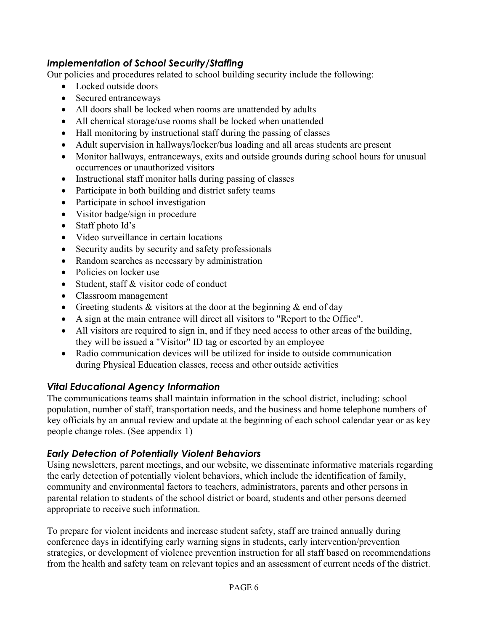## *Implementation of School Security/Staffing*

Our policies and procedures related to school building security include the following:

- Locked outside doors
- Secured entranceways
- All doors shall be locked when rooms are unattended by adults
- All chemical storage/use rooms shall be locked when unattended
- Hall monitoring by instructional staff during the passing of classes
- Adult supervision in hallways/locker/bus loading and all areas students are present
- Monitor hallways, entranceways, exits and outside grounds during school hours for unusual occurrences or unauthorized visitors
- Instructional staff monitor halls during passing of classes
- Participate in both building and district safety teams
- Participate in school investigation
- Visitor badge/sign in procedure
- Staff photo Id's
- Video surveillance in certain locations
- Security audits by security and safety professionals
- Random searches as necessary by administration
- Policies on locker use
- Student, staff & visitor code of conduct
- Classroom management
- Greeting students  $&$  visitors at the door at the beginning  $&$  end of day
- A sign at the main entrance will direct all visitors to "Report to the Office".
- All visitors are required to sign in, and if they need access to other areas of the building, they will be issued a "Visitor" ID tag or escorted by an employee
- Radio communication devices will be utilized for inside to outside communication during Physical Education classes, recess and other outside activities

# *Vital Educational Agency Information*

The communications teams shall maintain information in the school district, including: school population, number of staff, transportation needs, and the business and home telephone numbers of key officials by an annual review and update at the beginning of each school calendar year or as key people change roles. (See appendix 1)

# *Early Detection of Potentially Violent Behaviors*

Using newsletters, parent meetings, and our website, we disseminate informative materials regarding the early detection of potentially violent behaviors, which include the identification of family, community and environmental factors to teachers, administrators, parents and other persons in parental relation to students of the school district or board, students and other persons deemed appropriate to receive such information.

To prepare for violent incidents and increase student safety, staff are trained annually during conference days in identifying early warning signs in students, early intervention/prevention strategies, or development of violence prevention instruction for all staff based on recommendations from the health and safety team on relevant topics and an assessment of current needs of the district.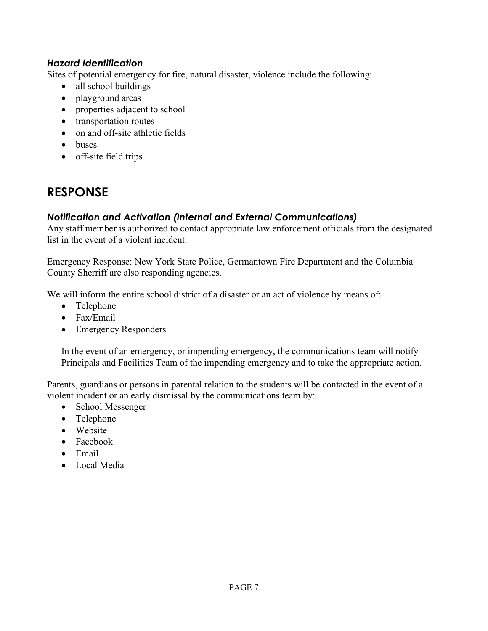#### *Hazard Identification*

Sites of potential emergency for fire, natural disaster, violence include the following:

- all school buildings
- playground areas
- properties adjacent to school
- transportation routes
- on and off-site athletic fields
- buses
- off-site field trips

# **RESPONSE**

# *Notification and Activation (Internal and External Communications)*

Any staff member is authorized to contact appropriate law enforcement officials from the designated list in the event of a violent incident.

Emergency Response: New York State Police, Germantown Fire Department and the Columbia County Sherriff are also responding agencies.

We will inform the entire school district of a disaster or an act of violence by means of:

- Telephone
- Fax/Email
- Emergency Responders

In the event of an emergency, or impending emergency, the communications team will notify Principals and Facilities Team of the impending emergency and to take the appropriate action.

Parents, guardians or persons in parental relation to the students will be contacted in the event of a violent incident or an early dismissal by the communications team by:

- School Messenger
- Telephone
- Website
- Facebook
- Email
- Local Media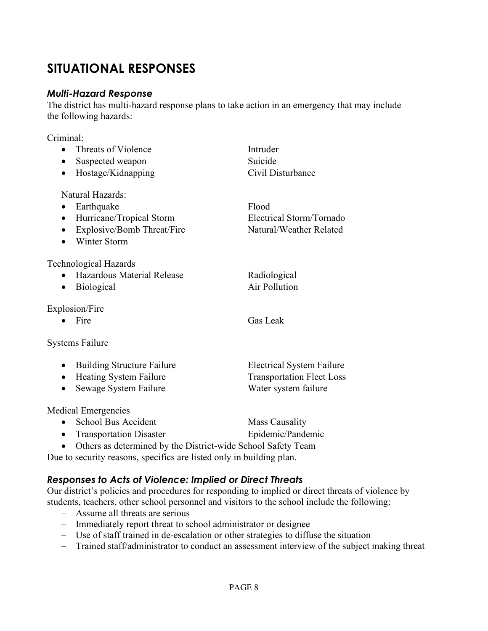# **SITUATIONAL RESPONSES**

#### *Multi-Hazard Response*

The district has multi-hazard response plans to take action in an emergency that may include the following hazards:

#### Criminal:

| Threats of Violence<br>$\bullet$                                     | Intruder                         |
|----------------------------------------------------------------------|----------------------------------|
| Suspected weapon                                                     | Suicide                          |
| Hostage/Kidnapping                                                   | Civil Disturbance                |
| Natural Hazards:                                                     |                                  |
| Earthquake<br>$\bullet$                                              | Flood                            |
| Hurricane/Tropical Storm<br>$\bullet$                                | Electrical Storm/Tornado         |
| Explosive/Bomb Threat/Fire<br>$\bullet$                              | Natural/Weather Related          |
| Winter Storm                                                         |                                  |
| Technological Hazards                                                |                                  |
| Hazardous Material Release                                           | Radiological                     |
| Biological                                                           | Air Pollution                    |
| Explosion/Fire                                                       |                                  |
| Fire                                                                 | <b>Gas Leak</b>                  |
| <b>Systems Failure</b>                                               |                                  |
| <b>Building Structure Failure</b><br>$\bullet$                       | <b>Electrical System Failure</b> |
| <b>Heating System Failure</b><br>$\bullet$                           | <b>Transportation Fleet Loss</b> |
| Sewage System Failure<br>$\bullet$                                   | Water system failure             |
| Medical Emergencies                                                  |                                  |
| School Bus Accident<br>$\bullet$                                     | <b>Mass Causality</b>            |
| <b>Transportation Disaster</b>                                       | Epidemic/Pandemic                |
| Others as determined by the District-wide School Safety Team         |                                  |
| Due to security reasons, specifics are listed only in building plan. |                                  |

# *Responses to Acts of Violence: Implied or Direct Threats*

Our district's policies and procedures for responding to implied or direct threats of violence by students, teachers, other school personnel and visitors to the school include the following:

- Assume all threats are serious
- Immediately report threat to school administrator or designee
- Use of staff trained in de-escalation or other strategies to diffuse the situation
- Trained staff/administrator to conduct an assessment interview of the subject making threat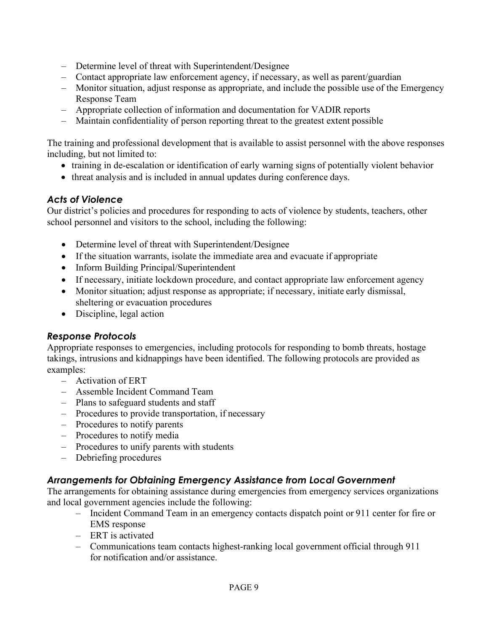- Determine level of threat with Superintendent/Designee
- Contact appropriate law enforcement agency, if necessary, as well as parent/guardian
- Monitor situation, adjust response as appropriate, and include the possible use of the Emergency Response Team
- Appropriate collection of information and documentation for VADIR reports
- Maintain confidentiality of person reporting threat to the greatest extent possible

The training and professional development that is available to assist personnel with the above responses including, but not limited to:

- training in de-escalation or identification of early warning signs of potentially violent behavior
- threat analysis and is included in annual updates during conference days.

#### *Acts of Violence*

Our district's policies and procedures for responding to acts of violence by students, teachers, other school personnel and visitors to the school, including the following:

- Determine level of threat with Superintendent/Designee
- If the situation warrants, isolate the immediate area and evacuate if appropriate
- Inform Building Principal/Superintendent
- If necessary, initiate lockdown procedure, and contact appropriate law enforcement agency
- Monitor situation; adjust response as appropriate; if necessary, initiate early dismissal, sheltering or evacuation procedures
- Discipline, legal action

#### *Response Protocols*

Appropriate responses to emergencies, including protocols for responding to bomb threats, hostage takings, intrusions and kidnappings have been identified. The following protocols are provided as examples:

- Activation of ERT
- Assemble Incident Command Team
- Plans to safeguard students and staff
- Procedures to provide transportation, if necessary
- Procedures to notify parents
- Procedures to notify media
- Procedures to unify parents with students
- Debriefing procedures

# *Arrangements for Obtaining Emergency Assistance from Local Government*

The arrangements for obtaining assistance during emergencies from emergency services organizations and local government agencies include the following:

- Incident Command Team in an emergency contacts dispatch point or 911 center for fire or EMS response
- ERT is activated
- Communications team contacts highest-ranking local government official through 911 for notification and/or assistance.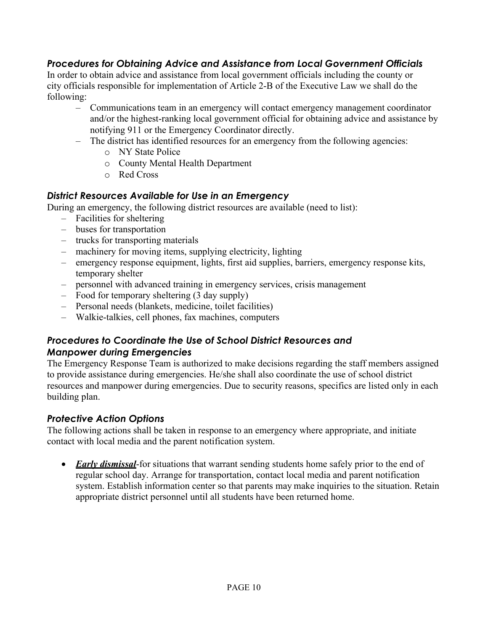# *Procedures for Obtaining Advice and Assistance from Local Government Officials*

In order to obtain advice and assistance from local government officials including the county or city officials responsible for implementation of Article 2-B of the Executive Law we shall do the following:

- Communications team in an emergency will contact emergency management coordinator and/or the highest-ranking local government official for obtaining advice and assistance by notifying 911 or the Emergency Coordinator directly.
- The district has identified resources for an emergency from the following agencies:
	- o NY State Police
	- o County Mental Health Department
	- o Red Cross

#### *District Resources Available for Use in an Emergency*

During an emergency, the following district resources are available (need to list):

- Facilities for sheltering
- buses for transportation
- trucks for transporting materials
- machinery for moving items, supplying electricity, lighting
- emergency response equipment, lights, first aid supplies, barriers, emergency response kits, temporary shelter
- personnel with advanced training in emergency services, crisis management
- Food for temporary sheltering (3 day supply)
- Personal needs (blankets, medicine, toilet facilities)
- Walkie-talkies, cell phones, fax machines, computers

## *Procedures to Coordinate the Use of School District Resources and Manpower during Emergencies*

The Emergency Response Team is authorized to make decisions regarding the staff members assigned to provide assistance during emergencies. He/she shall also coordinate the use of school district resources and manpower during emergencies. Due to security reasons, specifics are listed only in each building plan.

#### *Protective Action Options*

The following actions shall be taken in response to an emergency where appropriate, and initiate contact with local media and the parent notification system.

• *Early dismissal*-for situations that warrant sending students home safely prior to the end of regular school day. Arrange for transportation, contact local media and parent notification system. Establish information center so that parents may make inquiries to the situation. Retain appropriate district personnel until all students have been returned home.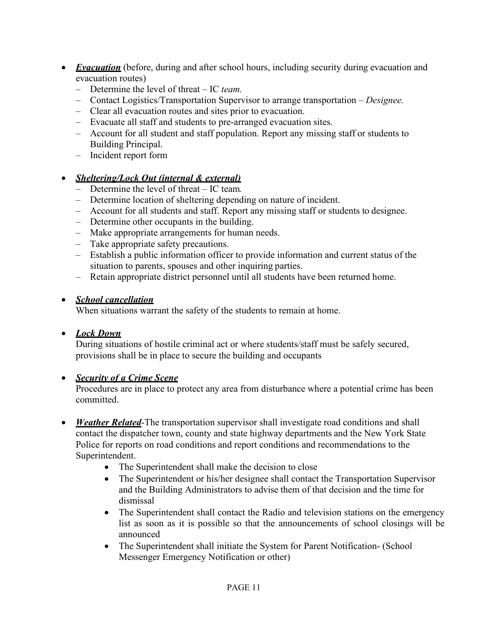- *Evacuation* (before, during and after school hours, including security during evacuation and evacuation routes)
	- Determine the level of threat IC *team.*
	- Contact Logistics/Transportation Supervisor to arrange transportation *Designee.*
	- Clear all evacuation routes and sites prior to evacuation.
	- Evacuate all staff and students to pre-arranged evacuation sites.
	- Account for all student and staff population. Report any missing staff or students to Building Principal.
	- Incident report form

#### • *Sheltering/Lock Out (internal & external)*

- Determine the level of threat IC team*.*
- Determine location of sheltering depending on nature of incident.
- Account for all students and staff. Report any missing staff or students to designee.
- Determine other occupants in the building.
- Make appropriate arrangements for human needs.
- Take appropriate safety precautions.
- Establish a public information officer to provide information and current status of the situation to parents, spouses and other inquiring parties.
- Retain appropriate district personnel until all students have been returned home.

#### • *School cancellation*

When situations warrant the safety of the students to remain at home.

#### • *Lock Down*

During situations of hostile criminal act or where students/staff must be safely secured, provisions shall be in place to secure the building and occupants

#### • *Security of a Crime Scene*

Procedures are in place to protect any area from disturbance where a potential crime has been committed.

- *Weather Related*-The transportation supervisor shall investigate road conditions and shall contact the dispatcher town, county and state highway departments and the New York State Police for reports on road conditions and report conditions and recommendations to the Superintendent.
	- The Superintendent shall make the decision to close
	- The Superintendent or his/her designee shall contact the Transportation Supervisor and the Building Administrators to advise them of that decision and the time for dismissal
	- The Superintendent shall contact the Radio and television stations on the emergency list as soon as it is possible so that the announcements of school closings will be announced
	- The Superintendent shall initiate the System for Parent Notification- (School Messenger Emergency Notification or other)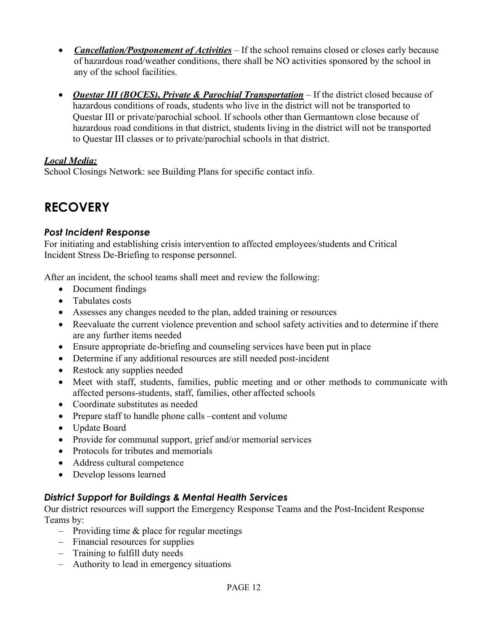- *Cancellation/Postponement of Activities* If the school remains closed or closes early because of hazardous road/weather conditions, there shall be NO activities sponsored by the school in any of the school facilities.
- *Questar III (BOCES), Private & Parochial Transportation* If the district closed because of hazardous conditions of roads, students who live in the district will not be transported to Questar III or private/parochial school. If schools other than Germantown close because of hazardous road conditions in that district, students living in the district will not be transported to Questar III classes or to private/parochial schools in that district.

#### *Local Media:*

School Closings Network: see Building Plans for specific contact info.

# **RECOVERY**

#### *Post Incident Response*

For initiating and establishing crisis intervention to affected employees/students and Critical Incident Stress De-Briefing to response personnel.

After an incident, the school teams shall meet and review the following:

- Document findings
- Tabulates costs
- Assesses any changes needed to the plan, added training or resources
- Reevaluate the current violence prevention and school safety activities and to determine if there are any further items needed
- Ensure appropriate de-briefing and counseling services have been put in place
- Determine if any additional resources are still needed post-incident
- Restock any supplies needed
- Meet with staff, students, families, public meeting and or other methods to communicate with affected persons-students, staff, families, other affected schools
- Coordinate substitutes as needed
- Prepare staff to handle phone calls –content and volume
- Update Board
- Provide for communal support, grief and/or memorial services
- Protocols for tributes and memorials
- Address cultural competence
- Develop lessons learned

#### *District Support for Buildings & Mental Health Services*

Our district resources will support the Emergency Response Teams and the Post-Incident Response Teams by:

- Providing time  $\&$  place for regular meetings
- Financial resources for supplies
- Training to fulfill duty needs
- Authority to lead in emergency situations